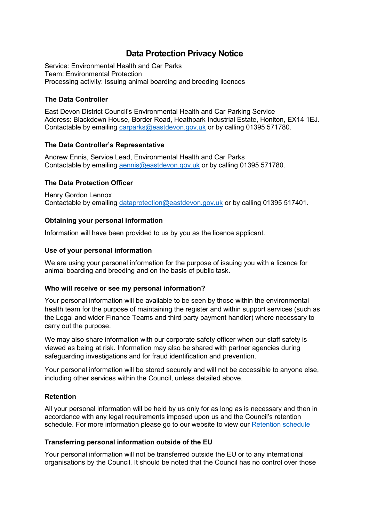# **Data Protection Privacy Notice**

Service: Environmental Health and Car Parks Team: Environmental Protection Processing activity: Issuing animal boarding and breeding licences

## **The Data Controller**

East Devon District Council's Environmental Health and Car Parking Service Address: Blackdown House, Border Road, Heathpark Industrial Estate, Honiton, EX14 1EJ. Contactable by emailing [carparks@eastdevon.gov.uk](mailto:carparks@eastdevon.gov.uk) or by calling 01395 571780.

## **The Data Controller's Representative**

Andrew Ennis, Service Lead, Environmental Health and Car Parks Contactable by emailing [aennis@eastdevon.gov.uk](mailto:aennis@eastdevon.gov.uk) or by calling 01395 571780.

## **The Data Protection Officer**

Henry Gordon Lennox Contactable by emailing [dataprotection@eastdevon.gov.uk](mailto:dataprotection@eastdevon.gov.uk) or by calling 01395 517401.

## **Obtaining your personal information**

Information will have been provided to us by you as the licence applicant.

### **Use of your personal information**

We are using your personal information for the purpose of issuing you with a licence for animal boarding and breeding and on the basis of public task.

### **Who will receive or see my personal information?**

Your personal information will be available to be seen by those within the environmental health team for the purpose of maintaining the register and within support services (such as the Legal and wider Finance Teams and third party payment handler) where necessary to carry out the purpose.

We may also share information with our corporate safety officer when our staff safety is viewed as being at risk. Information may also be shared with partner agencies during safeguarding investigations and for fraud identification and prevention.

Your personal information will be stored securely and will not be accessible to anyone else, including other services within the Council, unless detailed above.

## **Retention**

All your personal information will be held by us only for as long as is necessary and then in accordance with any legal requirements imposed upon us and the Council's retention schedule. For more information please go to our website to view our [Retention schedule](http://eastdevon.gov.uk/access-to-information/data-protection/document-retention-schedules/)

### **Transferring personal information outside of the EU**

Your personal information will not be transferred outside the EU or to any international organisations by the Council. It should be noted that the Council has no control over those